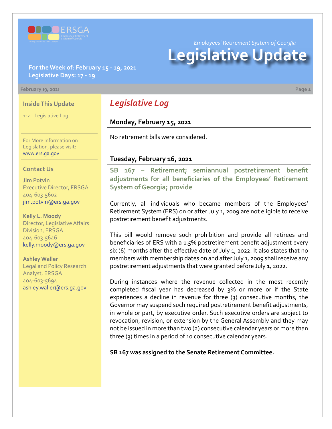

*Employees' Retirement System of Georgia*

# **Legislative Update**

# **For the Week of: February 15 - 19, 2021 Legislative Days: 17 - 19**

#### **February 19, 2021 Page 1**

## **Inside This Update**

1-2 Legislative Log

For More Information on Legislation, please visit: [www.ers.ga.gov](http://www.ers.ga.gov/default.aspx)

#### **Contact Us**

**Jim Potvin** Executive Director, ERSGA 404-603-5602 jim.potvin@ers.ga.gov

**Kelly L. Moody** Director, Legislative Affairs Division, ERSGA 404-603-5646 kelly.moody@ers.ga.gov

**Ashley Waller** Legal and Policy Research Analyst, ERSGA 404-603-5694 ashley.waller@ers.ga.gov

# *Legislative Log*

# **Monday, February 15, 2021**

No retirement bills were considered.

## **Tuesday, February 16, 2021**

**SB 167 [–](http://www.legis.ga.gov/legislation/en-US/Display/20192020/SB/14) Retirement; semiannual postretirement benefit [adjustments for all beneficiaries of the Employees' Retirement](https://www.legis.ga.gov/legislation/59672)  System of Georgia; provide**

Currently, all individuals who became members of the Employees' Retirement System (ERS) on or after July 1, 2009 are not eligible to receive postretirement benefit adjustments.

This bill would remove such prohibition and provide all retirees and beneficiaries of ERS with a 1.5% postretirement benefit adjustment every six (6) months after the effective date of July 1, 2022. It also states that no members with membership dates on and after July 1, 2009 shall receive any postretirement adjustments that were granted before July 1, 2022.

During instances where the revenue collected in the most recently completed fiscal year has decreased by 3% or more or if the State experiences a decline in revenue for three (3) consecutive months, the Governor may suspend such required postretirement benefit adjustments, in whole or part, by executive order. Such executive orders are subject to revocation, revision, or extension by the General Assembly and they may not be issued in more than two (2) consecutive calendar years or more than three (3) times in a period of 10 consecutive calendar years.

**SB 167 was assigned to the Senate Retirement Committee.**